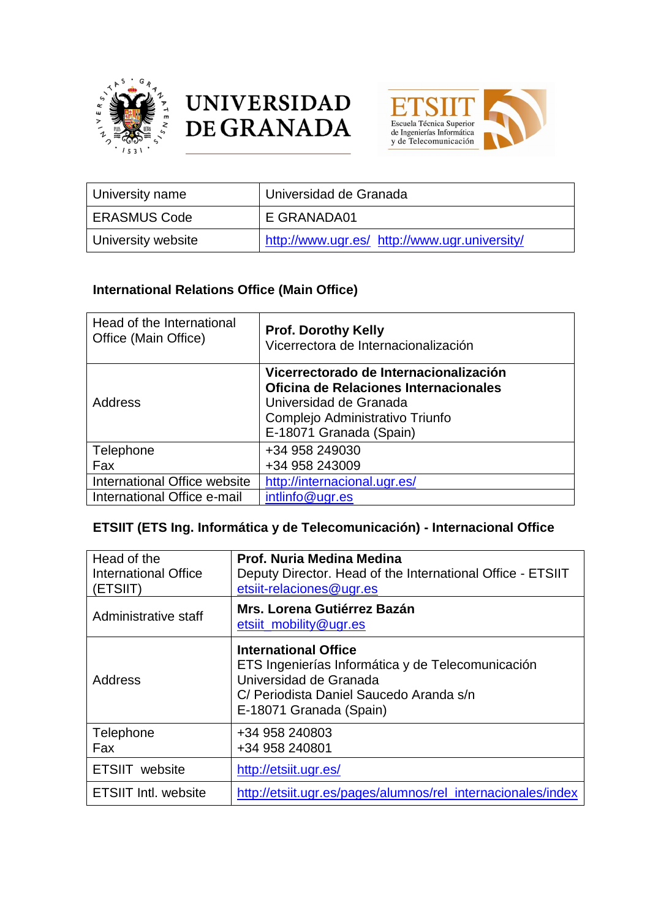





| University name    | Universidad de Granada                        |
|--------------------|-----------------------------------------------|
| I ERASMUS Code     | E GRANADA01                                   |
| University website | http://www.ugr.es/ http://www.ugr.university/ |

## **International Relations Office (Main Office)**

| Head of the International<br>Office (Main Office) | <b>Prof. Dorothy Kelly</b><br>Vicerrectora de Internacionalización                                                                                                      |
|---------------------------------------------------|-------------------------------------------------------------------------------------------------------------------------------------------------------------------------|
| Address                                           | Vicerrectorado de Internacionalización<br>Oficina de Relaciones Internacionales<br>Universidad de Granada<br>Complejo Administrativo Triunfo<br>E-18071 Granada (Spain) |
| Telephone                                         | +34 958 249030                                                                                                                                                          |
| Fax                                               | +34 958 243009                                                                                                                                                          |
| International Office website                      | http://internacional.ugr.es/                                                                                                                                            |
| International Office e-mail                       | intlinfo@ugr.es                                                                                                                                                         |

## **ETSIIT (ETS Ing. Informática y de Telecomunicación) - Internacional Office**

| Head of the<br>International Office<br>(ETSIIT) | Prof. Nuria Medina Medina<br>Deputy Director. Head of the International Office - ETSIIT<br>etsiit-relaciones@ugr.es                                                              |
|-------------------------------------------------|----------------------------------------------------------------------------------------------------------------------------------------------------------------------------------|
| Administrative staff                            | Mrs. Lorena Gutiérrez Bazán<br>etsiit_mobility@ugr.es                                                                                                                            |
| <b>Address</b>                                  | <b>International Office</b><br>ETS Ingenierías Informática y de Telecomunicación<br>Universidad de Granada<br>C/ Periodista Daniel Saucedo Aranda s/n<br>E-18071 Granada (Spain) |
| Telephone<br>Fax                                | +34 958 240803<br>+34 958 240801                                                                                                                                                 |
| <b>ETSIIT</b> website                           | http://etsiit.ugr.es/                                                                                                                                                            |
| <b>ETSIIT Intl. website</b>                     | http://etsiit.ugr.es/pages/alumnos/rel_internacionales/index                                                                                                                     |